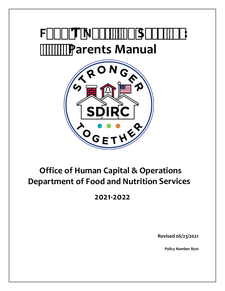

# **Office of Human Capital & Operations Department of Food and Nutrition Services**

**2021-2022**

**Revised 06/23/2021**

**[Policy Number 8510](http://go.boarddocs.com/fl/ircs/Board.nsf/goto?open&id=C3YL5T5347B5)**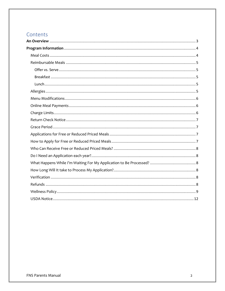# Contents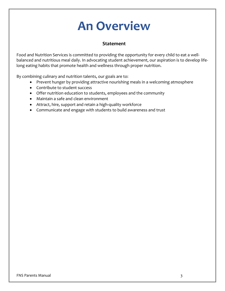# **An Overview**

#### **Statement**

<span id="page-2-0"></span>Food and Nutrition Services is committed to providing the opportunity for every child to eat a wellbalanced and nutritious meal daily. In advocating student achievement, our aspiration is to develop lifelong eating habits that promote health and wellness through proper nutrition.

By combining culinary and nutrition talents, our goals are to:

- Prevent hunger by providing attractive nourishing meals in a welcoming atmosphere
- Contribute to student success
- Offer nutrition education to students, employees and the community
- Maintain a safe and clean environment
- Attract, hire, support and retain a high-quality workforce
- Communicate and engage with students to build awareness and trust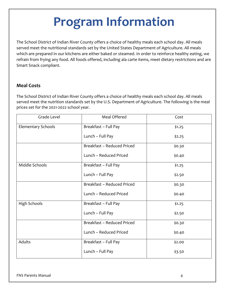# **Program Information**

<span id="page-3-0"></span>The School District of Indian River County offers a choice of healthy meals each school day. All meals served meet the nutritional standards set by the United States Department of Agriculture. All meals which are prepared in our kitchens are either baked or steamed. In order to reinforce healthy eating, we refrain from frying any food. All foods offered, including ala carte items, meet dietary restrictions and are Smart Snack compliant.

### <span id="page-3-1"></span>**Meal Costs**

The School District of Indian River County offers a choice of healthy meals each school day. All meals served meet the nutrition standards set by the U.S. Department of Agriculture. The following is the meal prices set for the 2021-2022 school year.

| Grade Level               | Meal Offered               | Cost   |
|---------------------------|----------------------------|--------|
| <b>Elementary Schools</b> | Breakfast - Full Pay       | \$1.25 |
|                           | Lunch - Full Pay           | \$2.25 |
|                           | Breakfast - Reduced Priced | \$0.30 |
|                           | Lunch - Reduced Priced     | \$0.40 |
| Middle Schools            | Breakfast - Full Pay       | \$1.25 |
|                           | Lunch - Full Pay           | \$2.50 |
|                           | Breakfast - Reduced Priced | \$0.30 |
|                           | Lunch - Reduced Priced     | \$0.40 |
| <b>High Schools</b>       | Breakfast - Full Pay       | \$1.25 |
|                           | Lunch - Full Pay           | \$2.50 |
|                           | Breakfast - Reduced Priced | \$0.30 |
|                           | Lunch - Reduced Priced     | \$0.40 |
| Adults                    | Breakfast - Full Pay       | \$2.00 |
|                           | Lunch - Full Pay           | \$3.50 |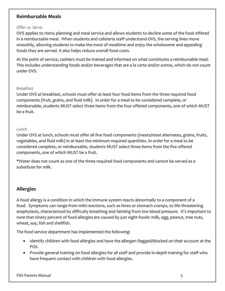#### <span id="page-4-0"></span>**Reimbursable Meals**

#### <span id="page-4-1"></span>Offer vs. Serve

OVS applies to menu planning and meal service and allows students to decline some of the food offered in a reimbursable meal. When students and cafeteria staff understand OVS, the serving lines move smoothly, allowing students to make the most of mealtime and enjoy the wholesome and appealing foods they are served. It also helps reduce overall food costs.

At the point of service, cashiers must be trained and informed on what constitutes a reimbursable meal. This includes understanding foods and/or beverages that are a la carte and/or extras, which do not count under OVS.

#### <span id="page-4-2"></span>Breakfast

Under OVS at breakfast, schools must offer at least four food items from the three required food components (fruit, grains, and fluid milk). In order for a meal to be considered complete, or reimbursable, students MUST select three items from the four offered components, one of which MUST be a fruit.

#### <span id="page-4-3"></span>Lunch

Under OVS at lunch, schools must offer all five food components (meats/meat alternates, grains, fruits, vegetables, and fluid milk) in at least the minimum required quantities. In order for a meal to be considered complete, or reimbursable, students MUST select three items from the five offered components, one of which MUST be a fruit.

\*Water does not count as one of the three required food components and cannot be served as a substitute for milk.

#### <span id="page-4-4"></span>**Allergies**

A food allergy is a condition in which the immune system reacts abnormally to a component of a food. Symptoms can range from mild reactions, such as hives or stomach cramps, to life-threatening anaphylaxis, characterized by difficulty breathing and fainting from low blood pressure. It's important to note that ninety percent of food allergies are caused by just eight foods: milk, egg, peanut, tree nuts, wheat, soy, fish and shellfish.

The food service department has implemented the following:

- Identify children with food allergies and have the allergen flagged/blocked on their account at the POS.
- Provide general training on food allergies for all staff and provide in-depth training for staff who have frequent contact with children with food allergies.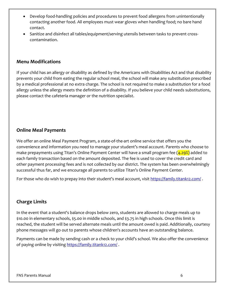- Develop food-handling policies and procedures to prevent food allergens from unintentionally contacting another food. All employees must wear gloves when handling food; no bare hand contact.
- Sanitize and disinfect all tables/equipment/serving utensils between tasks to prevent crosscontamination.

#### <span id="page-5-0"></span>**Menu Modifications**

If your child has an allergy or disability as defined by the Americans with Disabilities Act and that disability prevents your child from eating the regular school meal, the school will make any substitution prescribed by a medical professional at no extra charge. The school is not required to make a substitution for a food allergy unless the allergy meets the definition of a disability. If you believe your child needs substitutions, please contact the cafeteria manager or the nutrition specialist.

#### <span id="page-5-1"></span>**Online Meal Payments**

We offer an online Meal Payment Program, a state-of-the-art online service that offers you the convenience and information you need to manage your student's meal account. Parents who choose to make prepayments using Titan's Online Payment Center will have a small program fee (4.29%) added to each family transaction based on the amount deposited. The fee is used to cover the credit card and other payment processing fees and is not collected by our district. The system has been overwhelmingly successful thus far, and we encourage all parents to utilize Titan's Online Payment Center.

For those who do wish to prepay into their student's meal account, visit <https://family.titank12.com/>.

#### <span id="page-5-2"></span>**Charge Limits**

In the event that a student's balance drops below zero, students are allowed to charge meals up to \$10.00 in elementary schools, \$5.00 in middle schools, and \$3.75 in high schools. Once this limit is reached, the student will be served alternate meals until the amount owed is paid. Additionally, courtesy phone messages will go out to parents whose children's accounts have an outstanding balance.

Payments can be made by sending cash or a check to your child's school. We also offer the convenience of paying online by visiting <https://family.titank12.com/>.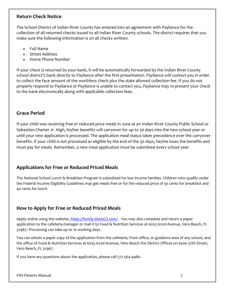#### <span id="page-6-0"></span>**Return Check Notice**

The School District of Indian River County has entered into an agreement with Payliance for the collection of all returned checks issued to all Indian River County schools. The district requires that you make sure the following information is on all checks written:

- Full Name
- Street Address
- Home Phone Number

If your check is returned by your bank, it will be automatically forwarded by the Indian River County school district's bank directly to Payliance after the first presentation. Payliance will contact you in order to collect the face amount of the worthless check plus the state allowed collection fee. If you do not properly respond to Payliance or Payliance is unable to contact you, Payliance may re-present your check to the bank electronically along with applicable collection fees.

#### <span id="page-6-1"></span>**Grace Period**

If your child was receiving free or reduced-price meals in June at an Indian River County Public School or Sebastian Charter Jr. High, his/her benefits will carryover for up to 30 days into the new school year or until your new application is processed. The application meal status takes precedence over the carryover benefits. If your child is not processed as eligible by the end of the 30 days, he/she loses the benefits and must pay for meals. Remember, a new meal application must be submitted every school year.

#### <span id="page-6-2"></span>**Applications for Free or Reduced Priced Meals**

The National School Lunch & Breakfast Program is subsidized for low income families. Children who qualify under the Federal Income Eligibility Guidelines may get meals free or for the reduced price of 30 cents for breakfast and 40 cents for lunch.

#### <span id="page-6-3"></span>**How to Apply for Free or Reduced Priced Meals**

Apply online using the website, <https://family.titank12.com/>. You may also complete and return a paper application to the cafeteria manager or mail it to Food & Nutrition Services at 6055 62nd Avenue, Vero Beach, FL 32967. Processing can take up to 10 working days.

You can obtain a paper copy of the application from the cafeteria, front office, or guidance area of any school, and the office of Food & Nutrition Services at 6055 62nd Avenue, Vero Beach the District Offices on 6500 57th Street, Vero Beach, FL 32967.

If you have any questions about the application, please call 772-564-4980.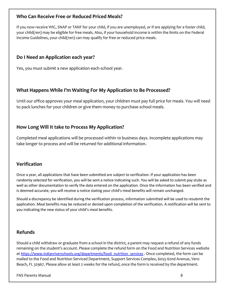#### <span id="page-7-0"></span>**Who Can Receive Free or Reduced Priced Meals?**

If you now receive WIC, SNAP or TANF for your child, if you are unemployed, or if are applying for a foster child, your child(ren) may be eligible for free meals. Also, if your household income is within the limits on the [Federal](http://www.fns.usda.gov/cnd/Governance/notices/iegs/IEGs.htm)  [Income Guidelines,](http://www.fns.usda.gov/cnd/Governance/notices/iegs/IEGs.htm) your child(ren) can may qualify for free or reduced price meals.

#### <span id="page-7-1"></span>**Do I Need an Application each year?**

Yes, you must submit a new application each school year.

#### <span id="page-7-2"></span>**What Happens While I'm Waiting For My Application to Be Processed?**

Until our office approves your meal application, your children must pay full price for meals. You will need to pack lunches for your children or give them money to purchase school meals.

### <span id="page-7-3"></span>**How Long Will It take to Process My Application?**

Completed meal applications will be processed within 10 business days. Incomplete applications may take longer to process and will be returned for additional information.

#### <span id="page-7-4"></span>**Verification**

Once a year, all applications that have been submitted are subject to verification. If your application has been randomly selected for verification, you will be sent a notice indicating such. You will be asked to submit pay stubs as well as other documentation to verify the data entered on the application. Once the information has been verified and is deemed accurate, you will receive a notice stating your child's meal benefits will remain unchanged.

Should a discrepancy be identified during the verification process, information submitted will be used to resubmit the application. Meal benefits may be reduced or denied upon completion of the verification. A notification will be sent to you indicating the new status of your child's meal benefits.

#### <span id="page-7-5"></span>**Refunds**

Should a child withdraw or graduate from a school in the district, a parent may request a refund of any funds remaining on the student's account. Please complete the refund form on the Food and Nutrition Services website at https://www.indianriverschools.org/departments/food nutrition services . Once completed, the form can be mailed to the Food and Nutrition Serviced Department, Support Services Complex, 6055 62nd Avenue, Vero Beach, FL 32967. Please allow at least 2 weeks for the refund, once the form is received by the department.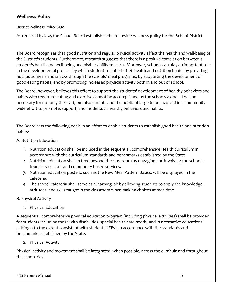### <span id="page-8-0"></span>**Wellness Policy**

District Wellness Policy 8510

As required by law, the School Board establishes the following wellness policy for the School District.

The Board recognizes that good nutrition and regular physical activity affect the health and well-being of the District's students. Furthermore, research suggests that there is a positive correlation between a student's health and well-being and his/her ability to learn. Moreover, schools can play an important role in the developmental process by which students establish their health and nutrition habits by providing nutritious meals and snacks through the schools' meal programs, by supporting the development of good eating habits, and by promoting increased physical activity both in and out of school.

The Board, however, believes this effort to support the students' development of healthy behaviors and habits with regard to eating and exercise cannot be accomplished by the schools alone. It will be necessary for not only the staff, but also parents and the public at large to be involved in a communitywide effort to promote, support, and model such healthy behaviors and habits.

The Board sets the following goals in an effort to enable students to establish good health and nutrition habits:

A. Nutrition Education

- 1. Nutrition education shall be included in the sequential, comprehensive Health curriculum in accordance with the curriculum standards and benchmarks established by the State.
- 2. Nutrition education shall extend beyond the classroom by engaging and involving the school's food service staff and community-based services.
- 3. Nutrition education posters, such as the New Meal Pattern Basics, will be displayed in the cafeteria.
- 4. The school cafeteria shall serve as a learning lab by allowing students to apply the knowledge, attitudes, and skills taught in the classroom when making choices at mealtime.

#### B. Physical Activity

1. Physical Education

A sequential, comprehensive physical education program (including physical activities) shall be provided for students including those with disabilities, special health care needs, and in alternative educational settings (to the extent consistent with students' IEPs), in accordance with the standards and benchmarks established by the State.

2. Physical Activity

Physical activity and movement shall be integrated, when possible, across the curricula and throughout the school day.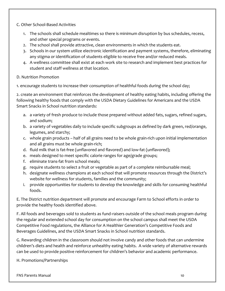C. Other School-Based Activities

- 1. The schools shall schedule mealtimes so there is minimum disruption by bus schedules, recess, and other special programs or events.
- 2. The school shall provide attractive, clean environments in which the students eat.
- 3. Schools in our system utilize electronic identification and payment systems, therefore, eliminating any stigma or identification of students eligible to receive free and/or reduced meals.
- 4. A wellness committee shall exist at each work site to research and implement best practices for student and staff wellness at that location.

#### D. Nutrition Promotion

1. encourage students to increase their consumption of healthful foods during the school day;

2. create an environment that reinforces the development of healthy eating habits, including offering the following healthy foods that comply with the USDA Dietary Guidelines for Americans and the USDA Smart Snacks in School nutrition standards:

- a. a variety of fresh produce to include those prepared without added fats, sugars, refined sugars, and sodium;
- b. a variety of vegetables daily to include specific subgroups as defined by dark green, red/orange, legumes, and starchy;
- c. whole grain products half of all grains need to be whole grain-rich upon initial implementation and all grains must be whole grain-rich;
- d. fluid milk that is fat-free (unflavored and flavored) and low-fat (unflavored);
- e. meals designed to meet specific calorie ranges for age/grade groups;
- f. eliminate trans-fat from school meals;
- g. require students to select a fruit or vegetable as part of a complete reimbursable meal;
- h. designate wellness champions at each school that will promote resources through the District's website for wellness for students, families and the community;
- i. provide opportunities for students to develop the knowledge and skills for consuming healthful foods.

E. The District nutrition department will promote and encourage Farm to School efforts in order to provide the healthy foods identified above.

F. All foods and beverages sold to students as fund‑raisers outside of the school meals program during the regular and extended school day for consumption on the school campus shall meet the USDA Competitive Food regulations, the Alliance for A Healthier Generation's Competitive Foods and Beverages Guidelines, and the USDA Smart Snacks in School nutrition standards.

G. Rewarding children in the classroom should not involve candy and other foods that can undermine children's diets and health and reinforce unhealthy eating habits. A wide variety of alternative rewards can be used to provide positive reinforcement for children's behavior and academic performance.

H. Promotions/Partnerships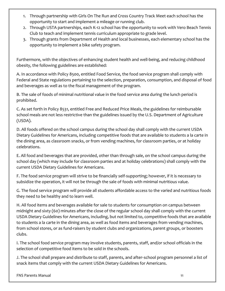- 1. Through partnership with Girls On The Run and Cross Country Track Meet each school has the opportunity to start and implement a mileage or running club.
- 2. Through USTA partnerships, each K-12 school has the opportunity to work with Vero Beach Tennis Club to teach and implement tennis curriculum appropriate to grade level.
- 3. Through grants from Department of Health and local businesses, each elementary school has the opportunity to implement a bike safety program.

Furthermore, with the objectives of enhancing student health and well-being, and reducing childhood obesity, the following guidelines are established:

A. In accordance with Policy 8500, entitled Food Service, the food service program shall comply with Federal and State regulations pertaining to the selection, preparation, consumption, and disposal of food and beverages as well as to the fiscal management of the program.

B. The sale of foods of minimal nutritional value in the food service area during the lunch period is prohibited.

C. As set forth in Policy 8531, entitled Free and Reduced Price Meals, the guidelines for reimbursable school meals are not less restrictive than the guidelines issued by the U.S. Department of Agriculture (USDA).

D. All foods offered on the school campus during the school day shall comply with the current USDA Dietary Guidelines for Americans, including competitive foods that are available to students a la carte in the dining area, as classroom snacks, or from vending machines, for classroom parties, or at holiday celebrations.

E. All food and beverages that are provided, other than through sale, on the school campus during the school day (which may include for classroom parties and at holiday celebrations) shall comply with the current USDA Dietary Guidelines for Americans.

F. The food service program will strive to be financially self-supporting; however, if it is necessary to subsidize the operation, it will not be through the sale of foods with minimal nutritious value.

G. The food service program will provide all students affordable access to the varied and nutritious foods they need to be healthy and to learn well.

H. All food items and beverages available for sale to students for consumption on campus between midnight and sixty (60) minutes after the close of the regular school day shall comply with the current USDA Dietary Guidelines for Americans, including, but not limited to, competitive foods that are available to students a la carte in the dining area, as well as food items and beverages from vending machines, from school stores, or as fund-raisers by student clubs and organizations, parent groups, or boosters clubs.

I. The school food service program may involve students, parents, staff, and/or school officials in the selection of competitive food items to be sold in the schools.

J. The school shall prepare and distribute to staff, parents, and after‑school program personnel a list of snack items that comply with the current USDA Dietary Guidelines for Americans.